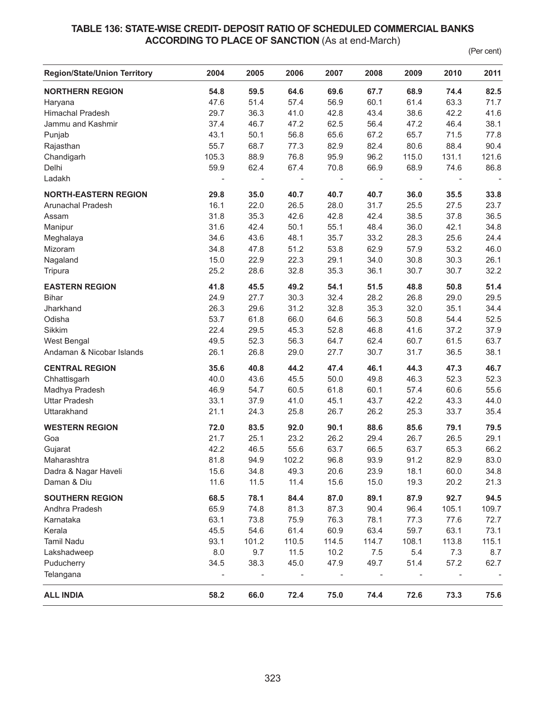## **TABLE 136: STATE-WISE CREDIT- DEPOSIT RATIO OF SCHEDULED COMMERCIAL BANKS ACCORDING TO PLACE OF SANCTION** (As at end-March)

(Per cent)

| <b>Region/State/Union Territory</b> | 2004                     | 2005           | 2006                     | 2007                     | 2008           | 2009                     | 2010                     | 2011  |
|-------------------------------------|--------------------------|----------------|--------------------------|--------------------------|----------------|--------------------------|--------------------------|-------|
| <b>NORTHERN REGION</b>              | 54.8                     | 59.5           | 64.6                     | 69.6                     | 67.7           | 68.9                     | 74.4                     | 82.5  |
| Haryana                             | 47.6                     | 51.4           | 57.4                     | 56.9                     | 60.1           | 61.4                     | 63.3                     | 71.7  |
| <b>Himachal Pradesh</b>             | 29.7                     | 36.3           | 41.0                     | 42.8                     | 43.4           | 38.6                     | 42.2                     | 41.6  |
| Jammu and Kashmir                   | 37.4                     | 46.7           | 47.2                     | 62.5                     | 56.4           | 47.2                     | 46.4                     | 38.1  |
| Punjab                              | 43.1                     | 50.1           | 56.8                     | 65.6                     | 67.2           | 65.7                     | 71.5                     | 77.8  |
| Rajasthan                           | 55.7                     | 68.7           | 77.3                     | 82.9                     | 82.4           | 80.6                     | 88.4                     | 90.4  |
| Chandigarh                          | 105.3                    | 88.9           | 76.8                     | 95.9                     | 96.2           | 115.0                    | 131.1                    | 121.6 |
| Delhi                               | 59.9                     | 62.4           | 67.4                     | 70.8                     | 66.9           | 68.9                     | 74.6                     | 86.8  |
| Ladakh                              | $\overline{\phantom{a}}$ | $\blacksquare$ | $\overline{\phantom{a}}$ | $\overline{\phantom{a}}$ | $\blacksquare$ | $\overline{\phantom{a}}$ | $\overline{\phantom{a}}$ |       |
| <b>NORTH-EASTERN REGION</b>         | 29.8                     | 35.0           | 40.7                     | 40.7                     | 40.7           | 36.0                     | 35.5                     | 33.8  |
| Arunachal Pradesh                   | 16.1                     | 22.0           | 26.5                     | 28.0                     | 31.7           | 25.5                     | 27.5                     | 23.7  |
| Assam                               | 31.8                     | 35.3           | 42.6                     | 42.8                     | 42.4           | 38.5                     | 37.8                     | 36.5  |
| Manipur                             | 31.6                     | 42.4           | 50.1                     | 55.1                     | 48.4           | 36.0                     | 42.1                     | 34.8  |
| Meghalaya                           | 34.6                     | 43.6           | 48.1                     | 35.7                     | 33.2           | 28.3                     | 25.6                     | 24.4  |
| Mizoram                             | 34.8                     | 47.8           | 51.2                     | 53.8                     | 62.9           | 57.9                     | 53.2                     | 46.0  |
| Nagaland                            | 15.0                     | 22.9           | 22.3                     | 29.1                     | 34.0           | 30.8                     | 30.3                     | 26.1  |
| Tripura                             | 25.2                     | 28.6           | 32.8                     | 35.3                     | 36.1           | 30.7                     | 30.7                     | 32.2  |
| <b>EASTERN REGION</b>               | 41.8                     | 45.5           | 49.2                     | 54.1                     | 51.5           | 48.8                     | 50.8                     | 51.4  |
|                                     | 24.9                     | 27.7           |                          |                          | 28.2           | 26.8                     |                          |       |
| <b>Bihar</b>                        |                          |                | 30.3                     | 32.4                     |                |                          | 29.0                     | 29.5  |
| Jharkhand                           | 26.3                     | 29.6           | 31.2                     | 32.8                     | 35.3           | 32.0                     | 35.1                     | 34.4  |
| Odisha                              | 53.7                     | 61.8           | 66.0                     | 64.6                     | 56.3           | 50.8                     | 54.4                     | 52.5  |
| Sikkim                              | 22.4                     | 29.5           | 45.3                     | 52.8                     | 46.8           | 41.6                     | 37.2                     | 37.9  |
| West Bengal                         | 49.5                     | 52.3           | 56.3                     | 64.7                     | 62.4           | 60.7                     | 61.5                     | 63.7  |
| Andaman & Nicobar Islands           | 26.1                     | 26.8           | 29.0                     | 27.7                     | 30.7           | 31.7                     | 36.5                     | 38.1  |
| <b>CENTRAL REGION</b>               | 35.6                     | 40.8           | 44.2                     | 47.4                     | 46.1           | 44.3                     | 47.3                     | 46.7  |
| Chhattisgarh                        | 40.0                     | 43.6           | 45.5                     | 50.0                     | 49.8           | 46.3                     | 52.3                     | 52.3  |
| Madhya Pradesh                      | 46.9                     | 54.7           | 60.5                     | 61.8                     | 60.1           | 57.4                     | 60.6                     | 55.6  |
| <b>Uttar Pradesh</b>                | 33.1                     | 37.9           | 41.0                     | 45.1                     | 43.7           | 42.2                     | 43.3                     | 44.0  |
| Uttarakhand                         | 21.1                     | 24.3           | 25.8                     | 26.7                     | 26.2           | 25.3                     | 33.7                     | 35.4  |
| <b>WESTERN REGION</b>               | 72.0                     | 83.5           | 92.0                     | 90.1                     | 88.6           | 85.6                     | 79.1                     | 79.5  |
| Goa                                 | 21.7                     | 25.1           | 23.2                     | 26.2                     | 29.4           | 26.7                     | 26.5                     | 29.1  |
| Gujarat                             | 42.2                     | 46.5           | 55.6                     | 63.7                     | 66.5           | 63.7                     | 65.3                     | 66.2  |
| Maharashtra                         | 81.8                     | 94.9           | 102.2                    | 96.8                     | 93.9           | 91.2                     | 82.9                     | 83.0  |
| Dadra & Nagar Haveli                | 15.6                     | 34.8           | 49.3                     | 20.6                     | 23.9           | 18.1                     | 60.0                     | 34.8  |
| Daman & Diu                         | 11.6                     | 11.5           | 11.4                     | 15.6                     | 15.0           | 19.3                     | 20.2                     | 21.3  |
| <b>SOUTHERN REGION</b>              | 68.5                     | 78.1           | 84.4                     | 87.0                     | 89.1           | 87.9                     | 92.7                     | 94.5  |
| Andhra Pradesh                      | 65.9                     | 74.8           | 81.3                     | 87.3                     | 90.4           | 96.4                     | 105.1                    | 109.7 |
| Karnataka                           | 63.1                     | 73.8           | 75.9                     | 76.3                     | 78.1           | 77.3                     | 77.6                     | 72.7  |
| Kerala                              | 45.5                     | 54.6           | 61.4                     | 60.9                     | 63.4           | 59.7                     | 63.1                     | 73.1  |
| <b>Tamil Nadu</b>                   | 93.1                     | 101.2          | 110.5                    | 114.5                    | 114.7          | 108.1                    | 113.8                    | 115.1 |
| Lakshadweep                         | 8.0                      | 9.7            | 11.5                     | 10.2                     | 7.5            | 5.4                      | 7.3                      | 8.7   |
| Puducherry                          | 34.5                     | 38.3           | 45.0                     | 47.9                     | 49.7           | 51.4                     | 57.2                     | 62.7  |
| Telangana                           | $\overline{\phantom{0}}$ |                |                          |                          |                |                          |                          |       |
| <b>ALL INDIA</b>                    | 58.2                     | 66.0           | 72.4                     | 75.0                     | 74.4           | 72.6                     | 73.3                     | 75.6  |
|                                     |                          |                |                          |                          |                |                          |                          |       |